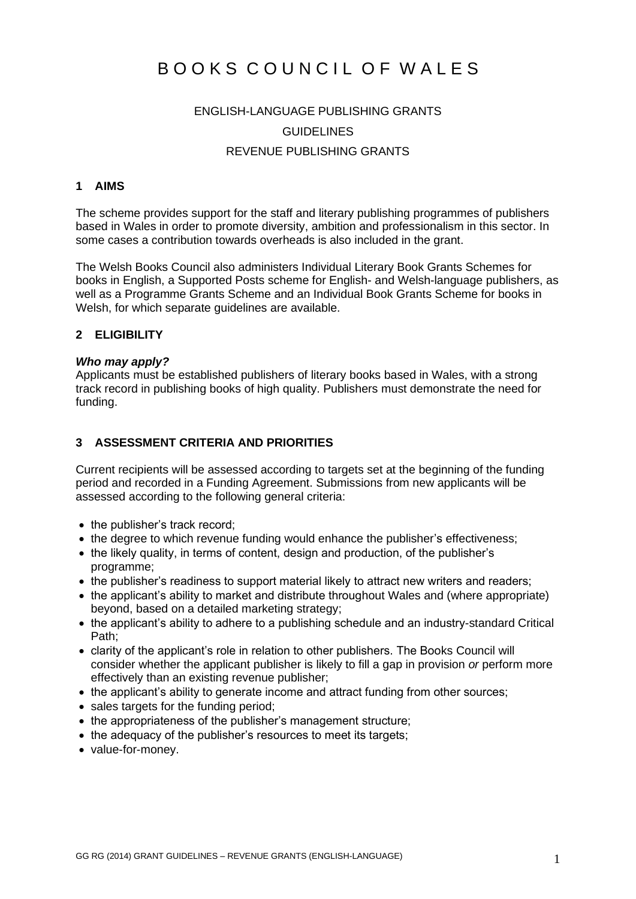# BOOKS COUNCIL OF WALES

## ENGLISH-LANGUAGE PUBLISHING GRANTS **GUIDELINES** REVENUE PUBLISHING GRANTS

## **1 AIMS**

The scheme provides support for the staff and literary publishing programmes of publishers based in Wales in order to promote diversity, ambition and professionalism in this sector. In some cases a contribution towards overheads is also included in the grant.

The Welsh Books Council also administers Individual Literary Book Grants Schemes for books in English, a Supported Posts scheme for English- and Welsh-language publishers, as well as a Programme Grants Scheme and an Individual Book Grants Scheme for books in Welsh, for which separate guidelines are available.

#### **2 ELIGIBILITY**

#### *Who may apply?*

Applicants must be established publishers of literary books based in Wales, with a strong track record in publishing books of high quality. Publishers must demonstrate the need for funding.

### **3 ASSESSMENT CRITERIA AND PRIORITIES**

Current recipients will be assessed according to targets set at the beginning of the funding period and recorded in a Funding Agreement. Submissions from new applicants will be assessed according to the following general criteria:

- the publisher's track record:
- the degree to which revenue funding would enhance the publisher's effectiveness:
- the likely quality, in terms of content, design and production, of the publisher's programme;
- the publisher's readiness to support material likely to attract new writers and readers;
- the applicant's ability to market and distribute throughout Wales and (where appropriate) beyond, based on a detailed marketing strategy;
- the applicant's ability to adhere to a publishing schedule and an industry-standard Critical Path;
- clarity of the applicant's role in relation to other publishers. The Books Council will consider whether the applicant publisher is likely to fill a gap in provision *or* perform more effectively than an existing revenue publisher;
- the applicant's ability to generate income and attract funding from other sources;
- sales targets for the funding period;
- the appropriateness of the publisher's management structure;
- the adequacy of the publisher's resources to meet its targets:
- value-for-money.